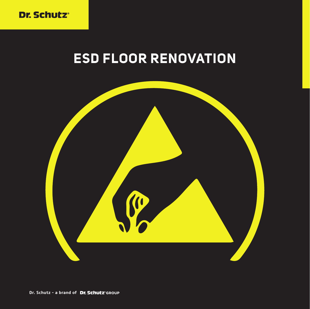

# **ESD FLOOR RENOVATION**

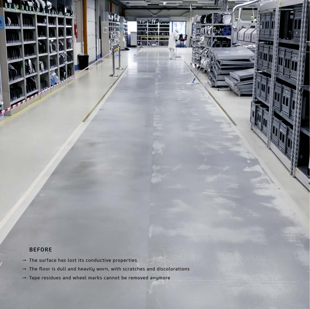### **BEFORE**

- $\rightarrow$  The surface has lost its conductive properties
- → The floor is dull and heavily worn, with scratches and discolorations
- → Tape residues and wheel marks cannot be removed anymore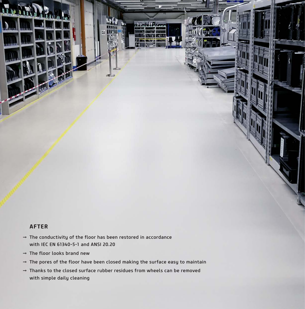### **AFTER**

N

- $\rightarrow$  The conductivity of the floor has been restored in accordance with IEC EN 61340-5-1 and ANSI 20.20
- $\rightarrow$  The floor looks brand new
- $\rightarrow$  The pores of the floor have been closed making the surface easy to maintain
- $\rightarrow$  Thanks to the closed surface rubber residues from wheels can be removed with simple daily cleaning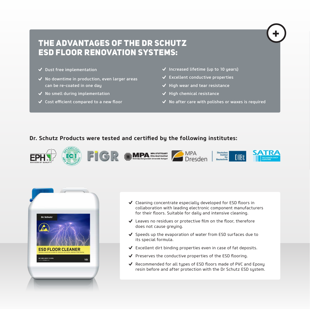### THE ADVANTAGES OF THE DR SCHUTZ ESD FLOOR RENOVATION SYSTEMS:

- Dust free implementation
- $\checkmark$  No downtime in production, even larger areas can be re-coated in one day
- $\checkmark$  No smell during implementation
- Cost efficient compared to a new floor
- $\checkmark$  Increased lifetime (up to 10 years)
- $\checkmark$  Excellent conductive properties
- $\checkmark$  High wear and tear resistance
- $\checkmark$  High chemical resistance
- $\checkmark$  No after care with polishes or waxes is required

**+**

### **Dr. Schutz Products were tested and certified by the following institutes:**





- $\checkmark$  Cleaning concentrate especially developed for ESD floors in collaboration with leading electronic component manufacturers for their floors. Suitable for daily and intensive cleaning.
- Leaves no residues or protective film on the floor, therefore does not cause greying.
- $\checkmark$  Speeds up the evaporation of water from ESD surfaces due to its special formula.
- Excellent dirt binding properties even in case of fat deposits.
- ◆ Preserves the conductive properties of the ESD flooring.
- ◆ Recommended for all tupes of ESD floors made of PVC and Epoxy resin before and after protection with the Dr Schutz ESD system.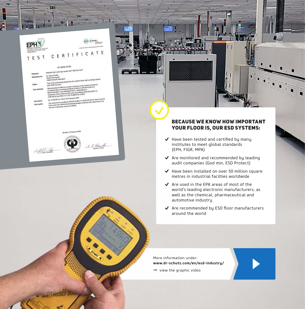

**COM** 

#### ST-18-01-23-02 . . . . . resm Top

| Products:                            | <b>BUSINESS LINA-A-</b>                                                                                                                                                                                                                                  |
|--------------------------------------|----------------------------------------------------------------------------------------------------------------------------------------------------------------------------------------------------------------------------------------------------------|
| Manufacturer:                        | Dr. Schutz GmbH<br>Steinbrinksweg 30<br>31840 Hessisch Oldendorf<br>Test of the electrostatic properties of a resilient floor with coverings coated                                                                                                      |
| Order:                               | Determination of different surface resistances and constant resistances                                                                                                                                                                                  |
| Test methods:                        | of resilient floor according to DIN EN 61340-4-1, DIN EN 61340-4-5,<br>DIN EN 61340-2-3 and ANSI/ESD STM7.1, ANSI/ESD S4.1<br>Evaluation of the surface in EPA-areas according to DIN EN 61340-5-1/<br>ANSI 520.20 and TRGS 727 / IEC TS 60079-32-1:2013 |
| Test report:<br><b>Test results:</b> | No. 2716258_A1 / Part1 of 22 January 2018<br>The assessment according to DIN EN 61340-5-1/ ANSI \$20.20 has shown that<br>limits were met. With the determined leakage resistance the requirements fi<br>the use in hazardous areas are fulfilled.       |
|                                      |                                                                                                                                                                                                                                                          |

# $\frac{1}{2}$



### BECAUSE WE KNOW HOW IMPORTANT YOUR FLOOR IS, OUR ESD SYSTEMS:

- $\blacktriangledown$  Have been tested and certified by many institutes to meet global standards (EPH, FIGR, MPA)
- $\blacktriangleright$  Are monitored and recommended by leading audit companies (God min, ESD Protect)
- $\blacktriangleright$  Have been installed on over 50 million square metres in industrial facilties worldwide
- $\triangleleft$  Are used in the EPA areas of most of the world's leading electronic manufacturers, as well as the chemical, pharmaceutical and automotive industry
- Are recommended by ESD floor manufacturers around the world

More information under: **www.dr-schutz.com/en/esd-industry/**

 $\rightarrow$  view the graphic video